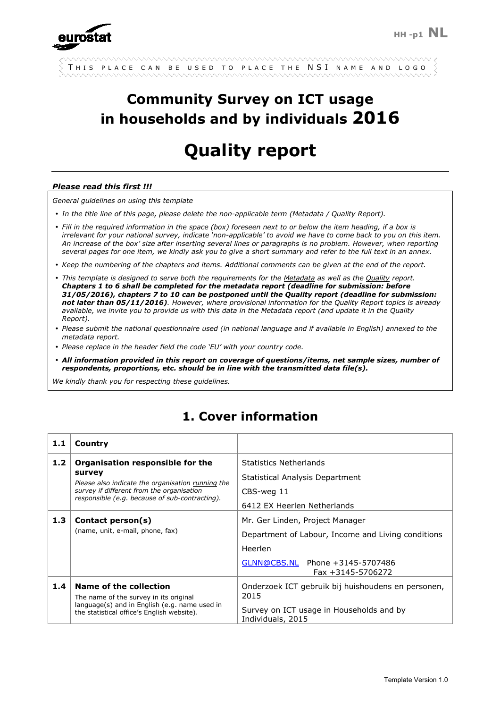

|  |  |  |  |  |  |  |  |  |  |  |  |  |  |  | $\frac{1}{2}$ This place can be used to place the NSI name and logo |  |  |  |  |  |  |  |  |  |  |  |  |  |  |  |
|--|--|--|--|--|--|--|--|--|--|--|--|--|--|--|---------------------------------------------------------------------|--|--|--|--|--|--|--|--|--|--|--|--|--|--|--|
|  |  |  |  |  |  |  |  |  |  |  |  |  |  |  |                                                                     |  |  |  |  |  |  |  |  |  |  |  |  |  |  |  |

# **Community Survey on ICT usage in households and by individuals 2016**

# **Quality report**

#### *Please read this first !!!*

*General guidelines on using this template* 

- *In the title line of this page, please delete the non-applicable term (Metadata / Quality Report).*
- *Fill in the required information in the space (box) foreseen next to or below the item heading, if a box is irrelevant for your national survey, indicate 'non-applicable' to avoid we have to come back to you on this item. An increase of the box' size after inserting several lines or paragraphs is no problem. However, when reporting several pages for one item, we kindly ask you to give a short summary and refer to the full text in an annex.*
- *Keep the numbering of the chapters and items. Additional comments can be given at the end of the report.*
- *This template is designed to serve both the requirements for the Metadata as well as the Quality report. Chapters 1 to 6 shall be completed for the metadata report (deadline for submission: before 31/05/2016), chapters 7 to 10 can be postponed until the Quality report (deadline for submission: not later than 05/11/2016). However, where provisional information for the Quality Report topics is already available, we invite you to provide us with this data in the Metadata report (and update it in the Quality Report).*
- *Please submit the national questionnaire used (in national language and if available in English) annexed to the metadata report.*
- *Please replace in the header field the code 'EU' with your country code.*
- *All information provided in this report on coverage of questions/items, net sample sizes, number of respondents, proportions, etc. should be in line with the transmitted data file(s).*

*We kindly thank you for respecting these guidelines.*

# **1. Cover information**

| 1.1              | Country                                                                                                                                                                                        |                                                                                                                                                          |
|------------------|------------------------------------------------------------------------------------------------------------------------------------------------------------------------------------------------|----------------------------------------------------------------------------------------------------------------------------------------------------------|
| 1.2 <sub>1</sub> | Organisation responsible for the<br>survey<br>Please also indicate the organisation running the<br>survey if different from the organisation<br>responsible (e.g. because of sub-contracting). | <b>Statistics Netherlands</b><br>Statistical Analysis Department<br>CBS-weg 11<br>6412 FX Heerlen Netherlands                                            |
| 1.3 <sub>1</sub> | Contact person(s)<br>(name, unit, e-mail, phone, fax)                                                                                                                                          | Mr. Ger Linden, Project Manager<br>Department of Labour, Income and Living conditions<br>Heerlen<br>GLNN@CBS.NL Phone +3145-5707486<br>Fax +3145-5706272 |
| 1.4              | Name of the collection<br>The name of the survey in its original<br>language(s) and in English (e.g. name used in<br>the statistical office's English website).                                | Onderzoek ICT gebruik bij huishoudens en personen,<br>2015<br>Survey on ICT usage in Households and by<br>Individuals, 2015                              |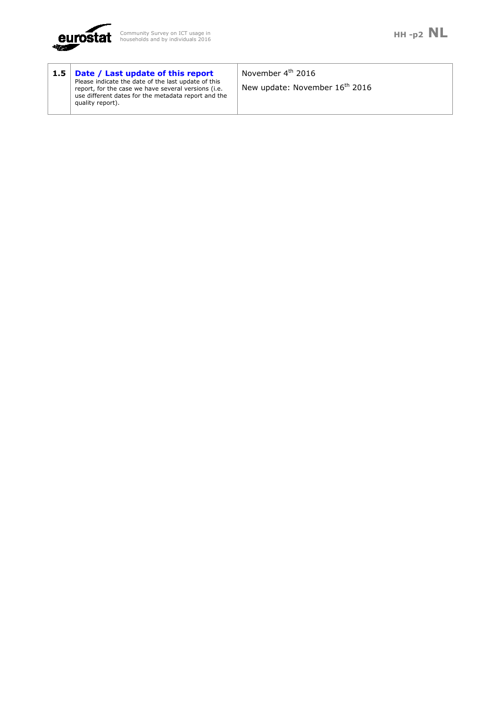

| 1.5 <sub>1</sub> | Date / Last update of this report<br>Please indicate the date of the last update of this<br>report, for the case we have several versions (i.e.<br>use different dates for the metadata report and the<br>quality report). | November 4 <sup>th</sup> 2016<br>New update: November 16 <sup>th</sup> 2016 |
|------------------|----------------------------------------------------------------------------------------------------------------------------------------------------------------------------------------------------------------------------|-----------------------------------------------------------------------------|
|------------------|----------------------------------------------------------------------------------------------------------------------------------------------------------------------------------------------------------------------------|-----------------------------------------------------------------------------|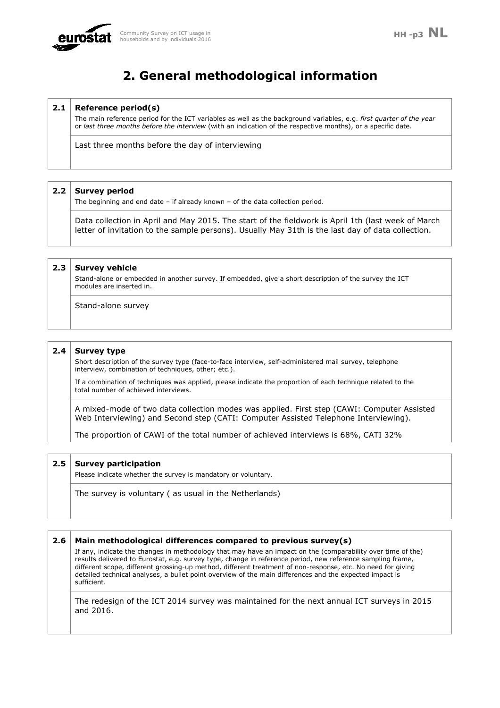

# **2. General methodological information**

### **2.1 Reference period(s)**

The main reference period for the ICT variables as well as the background variables, e.g. *first quarter of the year* or *last three months before the interview* (with an indication of the respective months), or a specific date.

Last three months before the day of interviewing

### **2.2 Survey period**

The beginning and end date – if already known – of the data collection period.

Data collection in April and May 2015. The start of the fieldwork is April 1th (last week of March letter of invitation to the sample persons). Usually May 31th is the last day of data collection.

### **2.3 Survey vehicle**

Stand-alone or embedded in another survey. If embedded, give a short description of the survey the ICT modules are inserted in.

Stand-alone survey

### **2.4 Survey type**

Short description of the survey type (face-to-face interview, self-administered mail survey, telephone interview, combination of techniques, other; etc.).

If a combination of techniques was applied, please indicate the proportion of each technique related to the total number of achieved interviews.

A mixed-mode of two data collection modes was applied. First step (CAWI: Computer Assisted Web Interviewing) and Second step (CATI: Computer Assisted Telephone Interviewing).

The proportion of CAWI of the total number of achieved interviews is 68%, CATI 32%

### **2.5 Survey participation**

Please indicate whether the survey is mandatory or voluntary.

The survey is voluntary ( as usual in the Netherlands)

### **2.6 Main methodological differences compared to previous survey(s)**

If any, indicate the changes in methodology that may have an impact on the (comparability over time of the) results delivered to Eurostat, e.g. survey type, change in reference period, new reference sampling frame, different scope, different grossing-up method, different treatment of non-response, etc. No need for giving detailed technical analyses, a bullet point overview of the main differences and the expected impact is sufficient.

The redesign of the ICT 2014 survey was maintained for the next annual ICT surveys in 2015 and 2016.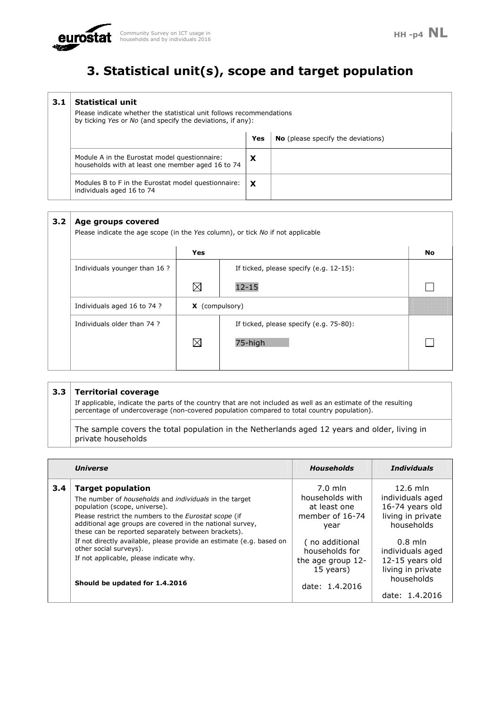# **3. Statistical unit(s), scope and target population**

| 3.1 | <b>Statistical unit</b><br>Please indicate whether the statistical unit follows recommendations<br>by ticking Yes or No (and specify the deviations, if any): |     |                                           |
|-----|---------------------------------------------------------------------------------------------------------------------------------------------------------------|-----|-------------------------------------------|
|     |                                                                                                                                                               | Yes | <b>No</b> (please specify the deviations) |
|     | Module A in the Eurostat model questionnaire:<br>households with at least one member aged 16 to 74                                                            | X   |                                           |
|     | Modules B to F in the Eurostat model questionnaire:<br>individuals aged 16 to 74                                                                              | X   |                                           |

#### **3.2 Age groups covered**

Please indicate the age scope (in the *Yes* column), or tick *No* if not applicable

|                               | Yes                   |                                         | No |
|-------------------------------|-----------------------|-----------------------------------------|----|
| Individuals younger than 16 ? |                       | If ticked, please specify (e.g. 12-15): |    |
|                               | $\boxtimes$           | $12 - 15$                               |    |
| Individuals aged 16 to 74 ?   | <b>X</b> (compulsory) |                                         |    |
| Individuals older than 74 ?   |                       | If ticked, please specify (e.g. 75-80): |    |
|                               | $\boxtimes$           | 75-high                                 |    |
|                               |                       |                                         |    |

### **3.3 Territorial coverage**

If applicable, indicate the parts of the country that are not included as well as an estimate of the resulting percentage of undercoverage (non-covered population compared to total country population).

The sample covers the total population in the Netherlands aged 12 years and older, living in private households

|     | <b>Universe</b>                                                                                                                                                                                                                                                                                                | <b>Households</b>                                                                    | <b>Individuals</b>                                                                   |
|-----|----------------------------------------------------------------------------------------------------------------------------------------------------------------------------------------------------------------------------------------------------------------------------------------------------------------|--------------------------------------------------------------------------------------|--------------------------------------------------------------------------------------|
| 3.4 | <b>Target population</b><br>The number of <i>households</i> and <i>individuals</i> in the target<br>population (scope, universe).<br>Please restrict the numbers to the Eurostat scope (if<br>additional age groups are covered in the national survey,<br>these can be reported separately between brackets). | $7.0$ mln<br>households with<br>at least one<br>member of 16-74<br>year              | $12.6$ mln<br>individuals aged<br>16-74 years old<br>living in private<br>households |
|     | If not directly available, please provide an estimate (e.g. based on<br>other social surveys).<br>If not applicable, please indicate why.<br>Should be updated for 1.4.2016                                                                                                                                    | (no additional<br>households for<br>the age group 12-<br>15 years)<br>date: 1.4.2016 | $0.8$ mln<br>individuals aged<br>12-15 years old<br>living in private<br>households  |
|     |                                                                                                                                                                                                                                                                                                                |                                                                                      | date: 1.4.2016                                                                       |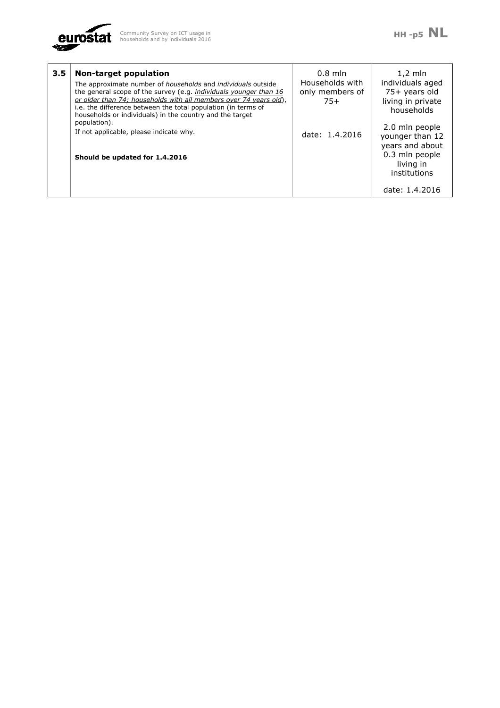

| $3.5^{\circ}$ | <b>Non-target population</b><br>The approximate number of <i>households</i> and <i>individuals</i> outside<br>the general scope of the survey (e.g. individuals younger than 16<br>or older than 74; households with all members over 74 years old),<br>i.e. the difference between the total population (in terms of<br>households or individuals) in the country and the target | $0.8$ mln<br>Households with<br>only members of<br>$75+$ | $1,2$ mln<br>individuals aged<br>75+ years old<br>living in private<br>households |
|---------------|-----------------------------------------------------------------------------------------------------------------------------------------------------------------------------------------------------------------------------------------------------------------------------------------------------------------------------------------------------------------------------------|----------------------------------------------------------|-----------------------------------------------------------------------------------|
|               | population).<br>If not applicable, please indicate why.                                                                                                                                                                                                                                                                                                                           | date: 1.4.2016                                           | 2.0 mln people<br>younger than 12                                                 |
|               | Should be updated for 1.4.2016                                                                                                                                                                                                                                                                                                                                                    |                                                          | years and about<br>0.3 mln people<br>living in<br>institutions                    |
|               |                                                                                                                                                                                                                                                                                                                                                                                   |                                                          | date: 1.4.2016                                                                    |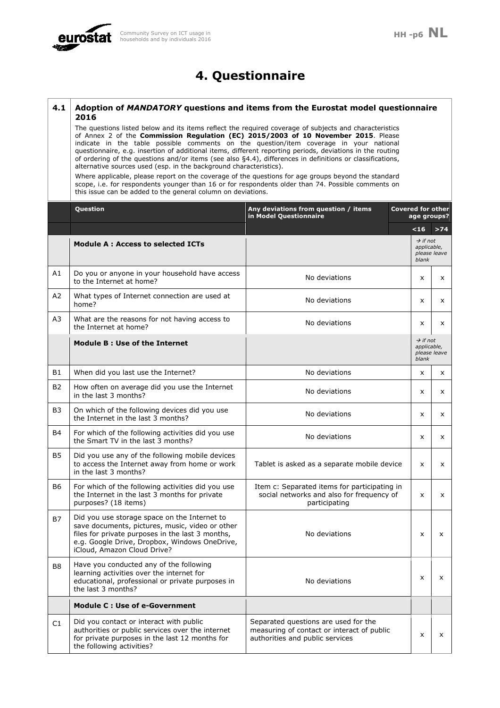

# **4. Questionnaire**

#### **4.1 Adoption of** *MANDATORY* **questions and items from the Eurostat model questionnaire 2016**

The questions listed below and its items reflect the required coverage of subjects and characteristics of Annex 2 of the **Commission Regulation (EC) 2015/2003 of 10 November 2015**. Please indicate in the table possible comments on the question/item coverage in your national questionnaire, e.g. insertion of additional items, different reporting periods, deviations in the routing of ordering of the questions and/or items (see also §4.4), differences in definitions or classifications, alternative sources used (esp. in the background characteristics).

Where applicable, please report on the coverage of the questions for age groups beyond the standard scope, i.e. for respondents younger than 16 or for respondents older than 74. Possible comments on this issue can be added to the general column on deviations.

|                | Question                                                                                                                                                                                                                            | Any deviations from question / items<br>in Model Questionnaire                                                        |   | <b>Covered for other</b><br>age groups?<br>$16$<br>$\rightarrow$ if not<br>applicable,<br>please leave<br>blank<br>X<br>x<br>X<br>$\rightarrow$ if not<br>applicable,<br>please leave<br>blank<br>x<br>x<br>x |       |
|----------------|-------------------------------------------------------------------------------------------------------------------------------------------------------------------------------------------------------------------------------------|-----------------------------------------------------------------------------------------------------------------------|---|---------------------------------------------------------------------------------------------------------------------------------------------------------------------------------------------------------------|-------|
|                |                                                                                                                                                                                                                                     |                                                                                                                       |   |                                                                                                                                                                                                               | $>74$ |
|                | <b>Module A: Access to selected ICTs</b>                                                                                                                                                                                            |                                                                                                                       |   |                                                                                                                                                                                                               |       |
| A1             | Do you or anyone in your household have access<br>to the Internet at home?                                                                                                                                                          | No deviations                                                                                                         |   |                                                                                                                                                                                                               | x     |
| A2             | What types of Internet connection are used at<br>home?                                                                                                                                                                              | No deviations                                                                                                         |   |                                                                                                                                                                                                               | x     |
| A3             | What are the reasons for not having access to<br>the Internet at home?                                                                                                                                                              | No deviations                                                                                                         |   |                                                                                                                                                                                                               | x     |
|                | Module B: Use of the Internet                                                                                                                                                                                                       |                                                                                                                       |   |                                                                                                                                                                                                               |       |
| B1             | When did you last use the Internet?                                                                                                                                                                                                 | No deviations                                                                                                         |   |                                                                                                                                                                                                               | x     |
| <b>B2</b>      | How often on average did you use the Internet<br>in the last 3 months?                                                                                                                                                              | No deviations                                                                                                         |   |                                                                                                                                                                                                               | x     |
| B <sub>3</sub> | On which of the following devices did you use<br>the Internet in the last 3 months?                                                                                                                                                 | No deviations                                                                                                         |   |                                                                                                                                                                                                               | x     |
| B4             | For which of the following activities did you use<br>the Smart TV in the last 3 months?                                                                                                                                             | No deviations                                                                                                         |   | x                                                                                                                                                                                                             | x     |
| <b>B5</b>      | Did you use any of the following mobile devices<br>to access the Internet away from home or work<br>in the last 3 months?                                                                                                           | Tablet is asked as a separate mobile device                                                                           | X |                                                                                                                                                                                                               | x     |
| B6             | For which of the following activities did you use<br>the Internet in the last 3 months for private<br>purposes? (18 items)                                                                                                          | Item c: Separated items for participating in<br>social networks and also for frequency of<br>participating            |   | x                                                                                                                                                                                                             | X     |
| B7             | Did you use storage space on the Internet to<br>save documents, pictures, music, video or other<br>files for private purposes in the last 3 months,<br>e.g. Google Drive, Dropbox, Windows OneDrive,<br>iCloud, Amazon Cloud Drive? | No deviations                                                                                                         | X |                                                                                                                                                                                                               | x     |
| B8             | Have you conducted any of the following<br>learning activities over the internet for<br>educational, professional or private purposes in<br>the last 3 months?                                                                      | No deviations                                                                                                         | x |                                                                                                                                                                                                               | x     |
|                | Module C : Use of e-Government                                                                                                                                                                                                      |                                                                                                                       |   |                                                                                                                                                                                                               |       |
| C1             | Did you contact or interact with public<br>authorities or public services over the internet<br>for private purposes in the last 12 months for<br>the following activities?                                                          | Separated questions are used for the<br>measuring of contact or interact of public<br>authorities and public services |   | $\mathsf{x}$                                                                                                                                                                                                  | x     |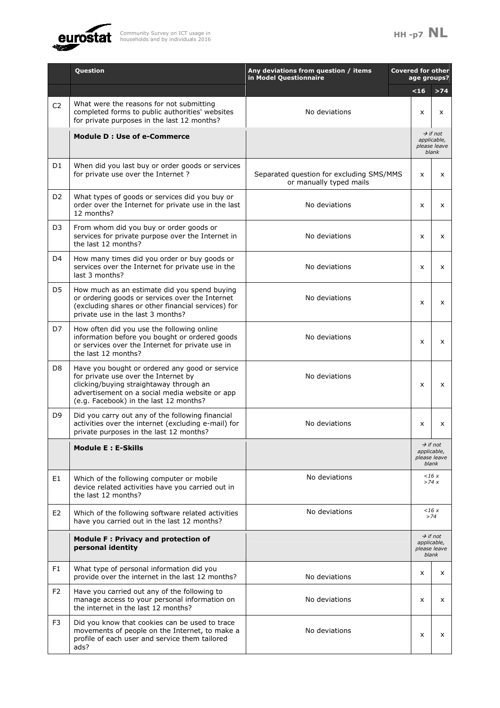

|                | Question                                                                                                                                                                                                                      | Any deviations from question / items<br>in Model Questionnaire      | <b>Covered for other</b><br>age groups? |                                                              |
|----------------|-------------------------------------------------------------------------------------------------------------------------------------------------------------------------------------------------------------------------------|---------------------------------------------------------------------|-----------------------------------------|--------------------------------------------------------------|
|                |                                                                                                                                                                                                                               |                                                                     | <16                                     | $>74$                                                        |
| C <sub>2</sub> | What were the reasons for not submitting<br>completed forms to public authorities' websites<br>for private purposes in the last 12 months?                                                                                    | No deviations                                                       | $\mathsf{x}$                            | x                                                            |
|                | <b>Module D : Use of e-Commerce</b>                                                                                                                                                                                           |                                                                     |                                         | $\rightarrow$ if not<br>applicable,<br>please leave<br>blank |
| D1             | When did you last buy or order goods or services<br>for private use over the Internet?                                                                                                                                        | Separated question for excluding SMS/MMS<br>or manually typed mails | X                                       | x                                                            |
| D <sub>2</sub> | What types of goods or services did you buy or<br>order over the Internet for private use in the last<br>12 months?                                                                                                           | No deviations                                                       | X                                       | X                                                            |
| D3             | From whom did you buy or order goods or<br>services for private purpose over the Internet in<br>the last 12 months?                                                                                                           | No deviations                                                       | X                                       | x                                                            |
| D <sub>4</sub> | How many times did you order or buy goods or<br>services over the Internet for private use in the<br>last 3 months?                                                                                                           | No deviations                                                       | X                                       | x                                                            |
| D5             | How much as an estimate did you spend buying<br>or ordering goods or services over the Internet<br>(excluding shares or other financial services) for<br>private use in the last 3 months?                                    | No deviations                                                       | X                                       | x                                                            |
| D7             | How often did you use the following online<br>information before you bought or ordered goods<br>or services over the Internet for private use in<br>the last 12 months?                                                       | No deviations                                                       | X                                       | x                                                            |
| D8             | Have you bought or ordered any good or service<br>for private use over the Internet by<br>clicking/buying straightaway through an<br>advertisement on a social media website or app<br>(e.g. Facebook) in the last 12 months? | No deviations                                                       | X                                       | x                                                            |
| D9             | Did you carry out any of the following financial<br>activities over the internet (excluding e-mail) for<br>private purposes in the last 12 months?                                                                            | No deviations                                                       | X                                       | x                                                            |
|                | <b>Module E: E-Skills</b>                                                                                                                                                                                                     |                                                                     |                                         | $\rightarrow$ if not<br>applicable,<br>please leave<br>blank |
| E1             | Which of the following computer or mobile<br>device related activities have you carried out in<br>the last 12 months?                                                                                                         | No deviations                                                       |                                         | 16x<br>>74x                                                  |
| E <sub>2</sub> | Which of the following software related activities<br>have you carried out in the last 12 months?                                                                                                                             | No deviations                                                       |                                         | 16x<br>>74                                                   |
|                | Module F: Privacy and protection of<br>personal identity                                                                                                                                                                      |                                                                     |                                         | $\rightarrow$ if not<br>applicable,<br>please leave<br>blank |
| F1             | What type of personal information did you<br>provide over the internet in the last 12 months?                                                                                                                                 | No deviations                                                       | X                                       | X                                                            |
| F <sub>2</sub> | Have you carried out any of the following to<br>manage access to your personal information on<br>the internet in the last 12 months?                                                                                          | No deviations                                                       | x                                       | x                                                            |
| F3             | Did you know that cookies can be used to trace<br>movements of people on the Internet, to make a<br>profile of each user and service them tailored<br>ads?                                                                    | No deviations                                                       | x                                       | x                                                            |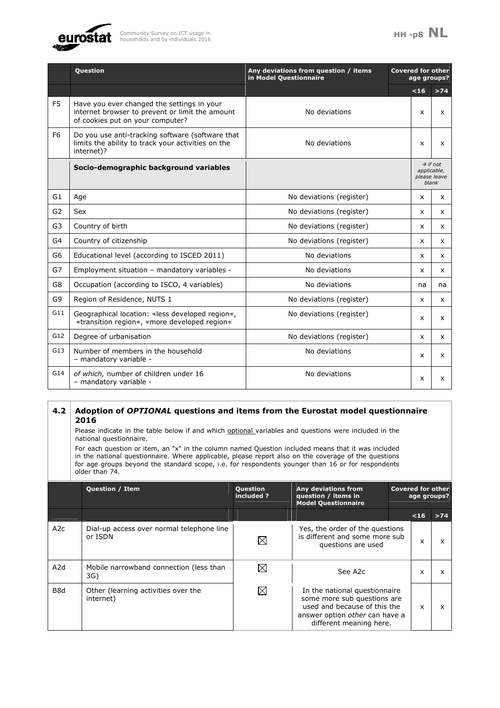

|                | <b>Question</b>                                                                                                                   | Any deviations from question / items<br>in Model Questionnaire | <b>Covered for other</b> | age groups?                                                  |                           |
|----------------|-----------------------------------------------------------------------------------------------------------------------------------|----------------------------------------------------------------|--------------------------|--------------------------------------------------------------|---------------------------|
|                |                                                                                                                                   |                                                                |                          | $<16$                                                        | $>74$                     |
| F <sub>5</sub> | Have you ever changed the settings in your<br>internet browser to prevent or limit the amount<br>of cookies put on your computer? | No deviations                                                  |                          | X                                                            | $\mathsf{x}$              |
| F <sub>6</sub> | Do you use anti-tracking software (software that<br>limits the ability to track your activities on the<br>internet)?              | No deviations                                                  |                          | x                                                            | $\boldsymbol{\mathsf{x}}$ |
|                | Socio-demographic background variables                                                                                            |                                                                |                          | $\rightarrow$ if not<br>applicable.<br>please leave<br>blank |                           |
| G <sub>1</sub> | Age                                                                                                                               | No deviations (register)                                       |                          | x                                                            | x                         |
| G <sub>2</sub> | Sex                                                                                                                               | No deviations (register)                                       |                          | X                                                            | X                         |
| G <sub>3</sub> | Country of birth                                                                                                                  | No deviations (register)                                       |                          | x                                                            | $\mathsf{x}$              |
| G4             | Country of citizenship                                                                                                            | No deviations (register)                                       |                          | X                                                            | $\mathsf{x}$              |
| G <sub>6</sub> | Educational level (according to ISCED 2011)                                                                                       | No deviations                                                  |                          | $\mathsf{x}$                                                 | $\mathsf{x}$              |
| G7             | Employment situation - mandatory variables -                                                                                      | No deviations                                                  |                          | $\mathsf{x}$                                                 | $\mathsf{x}$              |
| G8             | Occupation (according to ISCO, 4 variables)                                                                                       | No deviations                                                  |                          | na                                                           | na                        |
| G9             | Region of Residence, NUTS 1                                                                                                       | No deviations (register)                                       |                          | x                                                            | $\mathsf{x}$              |
| G11            | Geographical location: «less developed region«,<br>«transition region«, «more developed region«                                   | No deviations (register)                                       |                          | X                                                            | $\mathsf{x}$              |
| G12            | Degree of urbanisation                                                                                                            | No deviations (register)                                       |                          | X                                                            | $\mathsf{x}$              |
| G13            | Number of members in the household<br>- mandatory variable -                                                                      | No deviations                                                  |                          | x                                                            | $\mathsf{x}$              |
| G14            | of which, number of children under 16<br>- mandatory variable -                                                                   | No deviations                                                  |                          | x                                                            | X                         |

### **4.2 Adoption of** *OPTIONAL* **questions and items from the Eurostat model questionnaire 2016**

Please indicate in the table below if and which optional variables and questions were included in the national questionnaire.

For each question or item, an "x" in the column named Question included means that it was included in the national questionnaire. Where applicable, please report also on the coverage of the questions for age groups beyond the standard scope, i.e. for respondents younger than 16 or for respondents older than 74.

|                  | <b>Question / Item</b>                               | <b>Question</b><br>included ? | Any deviations from<br>question / items in<br><b>Model Questionnaire</b>                                                                                         |  | <b>Covered for other</b><br>age groups? |       |  |
|------------------|------------------------------------------------------|-------------------------------|------------------------------------------------------------------------------------------------------------------------------------------------------------------|--|-----------------------------------------|-------|--|
|                  |                                                      |                               |                                                                                                                                                                  |  | $16$                                    | $>74$ |  |
| A2c              | Dial-up access over normal telephone line<br>or ISDN | $\bowtie$                     | Yes, the order of the questions<br>is different and some more sub<br>questions are used                                                                          |  | x                                       | x     |  |
| A <sub>2</sub> d | Mobile narrowband connection (less than<br>3G)       |                               | See A <sub>2</sub> c                                                                                                                                             |  | x                                       |       |  |
| B8d              | Other (learning activities over the<br>internet)     | ⊠                             | In the national questionnaire<br>some more sub questions are<br>used and because of this the<br>answer option <i>other</i> can have a<br>different meaning here. |  | x                                       |       |  |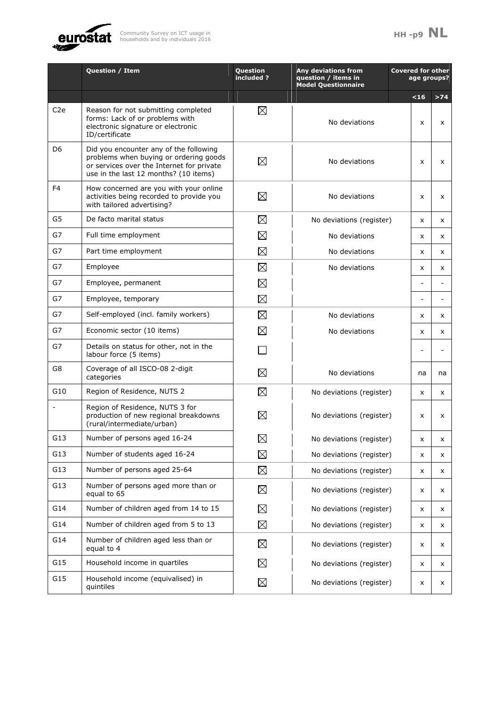



|                  | Question / Item                                                                                                                                                        | <b>Question</b><br>included? | <b>Any deviations from</b><br>question / items in<br><b>Model Questionnaire</b> | <b>Covered for other</b><br>age groups? |       |
|------------------|------------------------------------------------------------------------------------------------------------------------------------------------------------------------|------------------------------|---------------------------------------------------------------------------------|-----------------------------------------|-------|
|                  |                                                                                                                                                                        |                              |                                                                                 | <16                                     | $>74$ |
| C <sub>2</sub> e | Reason for not submitting completed<br>forms: Lack of or problems with<br>electronic signature or electronic<br>ID/certificate                                         | $\boxtimes$                  | No deviations                                                                   | x                                       | x     |
| D6               | Did you encounter any of the following<br>problems when buying or ordering goods<br>or services over the Internet for private<br>use in the last 12 months? (10 items) | $\boxtimes$                  | No deviations                                                                   | x                                       | x     |
| F4               | How concerned are you with your online<br>activities being recorded to provide you<br>with tailored advertising?                                                       | $\boxtimes$                  | No deviations                                                                   | x                                       | x     |
| G5               | De facto marital status                                                                                                                                                | $\boxtimes$                  | No deviations (register)                                                        | x                                       | x     |
| G7               | Full time employment                                                                                                                                                   | $\boxtimes$                  | No deviations                                                                   | X                                       | x     |
| G7               | Part time employment                                                                                                                                                   | $\boxtimes$                  | No deviations                                                                   | x                                       | x     |
| G7               | Employee                                                                                                                                                               | $\boxtimes$                  | No deviations                                                                   | x                                       | x     |
| G7               | Employee, permanent                                                                                                                                                    | $\boxtimes$                  |                                                                                 |                                         |       |
| G7               | Employee, temporary                                                                                                                                                    | $\boxtimes$                  |                                                                                 |                                         |       |
| G7               | Self-employed (incl. family workers)                                                                                                                                   | $\boxtimes$                  | No deviations                                                                   | x                                       | x     |
| G7               | Economic sector (10 items)                                                                                                                                             | $\boxtimes$                  | No deviations                                                                   | x                                       | x     |
| G7               | Details on status for other, not in the<br>labour force (5 items)                                                                                                      |                              |                                                                                 |                                         |       |
| G8               | Coverage of all ISCO-08 2-digit<br>categories                                                                                                                          | $\boxtimes$                  | No deviations                                                                   | na                                      | na    |
| G10              | Region of Residence, NUTS 2                                                                                                                                            | $\boxtimes$                  | No deviations (register)                                                        | X                                       | x     |
|                  | Region of Residence, NUTS 3 for<br>production of new regional breakdowns<br>(rural/intermediate/urban)                                                                 | $\boxtimes$                  | No deviations (register)                                                        | x                                       | x     |
| G13              | Number of persons aged 16-24                                                                                                                                           | $\boxtimes$                  | No deviations (register)                                                        | x                                       |       |
| G13              | Number of students aged 16-24                                                                                                                                          | $\boxtimes$                  | No deviations (register)                                                        | x                                       | x     |
| G13              | Number of persons aged 25-64                                                                                                                                           | $\boxtimes$                  | No deviations (register)                                                        | x                                       | x     |
| G13              | Number of persons aged more than or<br>equal to 65                                                                                                                     | $\boxtimes$                  | No deviations (register)                                                        | x                                       | x     |
| G14              | Number of children aged from 14 to 15                                                                                                                                  | $\boxtimes$                  | No deviations (register)                                                        | x                                       | x     |
| G14              | Number of children aged from 5 to 13                                                                                                                                   | $\boxtimes$                  | No deviations (register)                                                        | x                                       | x     |
| G14              | Number of children aged less than or<br>equal to 4                                                                                                                     | $\boxtimes$                  | No deviations (register)                                                        | x                                       | x     |
| G15              | Household income in quartiles                                                                                                                                          | $\boxtimes$                  | No deviations (register)                                                        | x                                       | x     |
| G15              | Household income (equivalised) in<br>quintiles                                                                                                                         | $\boxtimes$                  | No deviations (register)                                                        | x                                       | x     |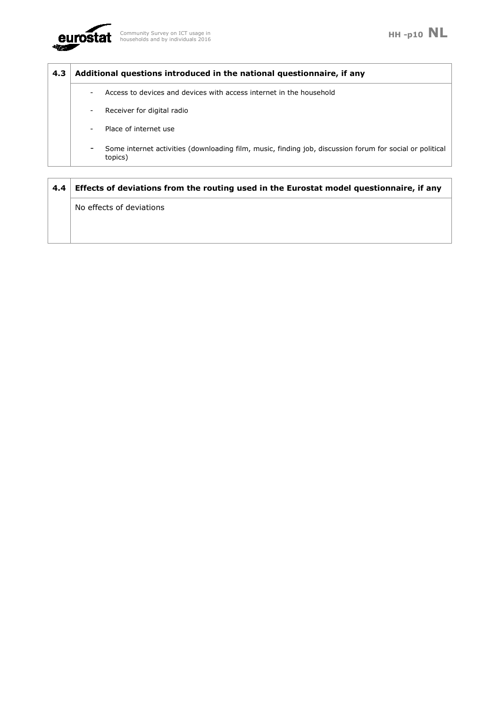

### **4.3 Additional questions introduced in the national questionnaire, if any**

- Access to devices and devices with access internet in the household
- Receiver for digital radio
- Place of internet use
- Some internet activities (downloading film, music, finding job, discussion forum for social or political topics)

| 4.4 | Effects of deviations from the routing used in the Eurostat model questionnaire, if any |
|-----|-----------------------------------------------------------------------------------------|
|     | No effects of deviations                                                                |
|     |                                                                                         |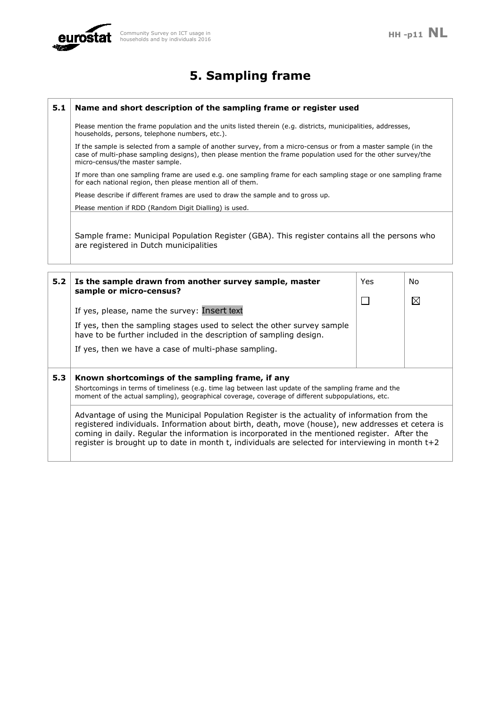

# **5. Sampling frame**

### **5.1 Name and short description of the sampling frame or register used**

Please mention the frame population and the units listed therein (e.g. districts, municipalities, addresses, households, persons, telephone numbers, etc.).

If the sample is selected from a sample of another survey, from a micro-census or from a master sample (in the case of multi-phase sampling designs), then please mention the frame population used for the other survey/the micro-census/the master sample.

If more than one sampling frame are used e.g. one sampling frame for each sampling stage or one sampling frame for each national region, then please mention all of them.

Please describe if different frames are used to draw the sample and to gross up.

Please mention if RDD (Random Digit Dialling) is used.

Sample frame: Municipal Population Register (GBA). This register contains all the persons who are registered in Dutch municipalities

| 5.2 | Is the sample drawn from another survey sample, master<br>sample or micro-census?                                                                                                                                                                                                                                                                                                                       |  | No.         |
|-----|---------------------------------------------------------------------------------------------------------------------------------------------------------------------------------------------------------------------------------------------------------------------------------------------------------------------------------------------------------------------------------------------------------|--|-------------|
|     | If yes, please, name the survey: Insert text<br>If yes, then the sampling stages used to select the other survey sample<br>have to be further included in the description of sampling design.<br>If yes, then we have a case of multi-phase sampling.                                                                                                                                                   |  | $\boxtimes$ |
| 5.3 | Known shortcomings of the sampling frame, if any<br>Shortcomings in terms of timeliness (e.g. time lag between last update of the sampling frame and the<br>moment of the actual sampling), geographical coverage, coverage of different subpopulations, etc.                                                                                                                                           |  |             |
|     | Advantage of using the Municipal Population Register is the actuality of information from the<br>registered individuals. Information about birth, death, move (house), new addresses et cetera is<br>coming in daily. Regular the information is incorporated in the mentioned register. After the<br>register is brought up to date in month t, individuals are selected for interviewing in month t+2 |  |             |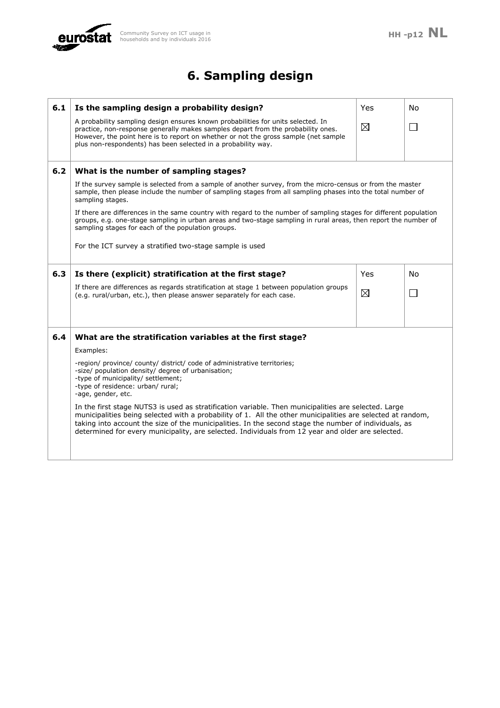

# **6. Sampling design**

| 6.1 | Is the sampling design a probability design?                                                                                                                                                                                                                                                                                                                                                                                      | Yes | No |  |
|-----|-----------------------------------------------------------------------------------------------------------------------------------------------------------------------------------------------------------------------------------------------------------------------------------------------------------------------------------------------------------------------------------------------------------------------------------|-----|----|--|
|     | A probability sampling design ensures known probabilities for units selected. In<br>practice, non-response generally makes samples depart from the probability ones.<br>However, the point here is to report on whether or not the gross sample (net sample<br>plus non-respondents) has been selected in a probability way.                                                                                                      |     |    |  |
| 6.2 | What is the number of sampling stages?                                                                                                                                                                                                                                                                                                                                                                                            |     |    |  |
|     | If the survey sample is selected from a sample of another survey, from the micro-census or from the master<br>sample, then please include the number of sampling stages from all sampling phases into the total number of<br>sampling stages.                                                                                                                                                                                     |     |    |  |
|     | If there are differences in the same country with regard to the number of sampling stages for different population<br>groups, e.g. one-stage sampling in urban areas and two-stage sampling in rural areas, then report the number of<br>sampling stages for each of the population groups.                                                                                                                                       |     |    |  |
|     | For the ICT survey a stratified two-stage sample is used                                                                                                                                                                                                                                                                                                                                                                          |     |    |  |
| 6.3 | Is there (explicit) stratification at the first stage?                                                                                                                                                                                                                                                                                                                                                                            | Yes | No |  |
|     | If there are differences as regards stratification at stage 1 between population groups<br>(e.g. rural/urban, etc.), then please answer separately for each case.                                                                                                                                                                                                                                                                 |     |    |  |
| 6.4 | What are the stratification variables at the first stage?                                                                                                                                                                                                                                                                                                                                                                         |     |    |  |
|     | Examples:                                                                                                                                                                                                                                                                                                                                                                                                                         |     |    |  |
|     | -region/ province/ county/ district/ code of administrative territories;<br>-size/ population density/ degree of urbanisation;<br>-type of municipality/ settlement;<br>-type of residence: urban/ rural;<br>-age, gender, etc.                                                                                                                                                                                                   |     |    |  |
|     | In the first stage NUTS3 is used as stratification variable. Then municipalities are selected. Large<br>municipalities being selected with a probability of 1. All the other municipalities are selected at random,<br>taking into account the size of the municipalities. In the second stage the number of individuals, as<br>determined for every municipality, are selected. Individuals from 12 year and older are selected. |     |    |  |
|     |                                                                                                                                                                                                                                                                                                                                                                                                                                   |     |    |  |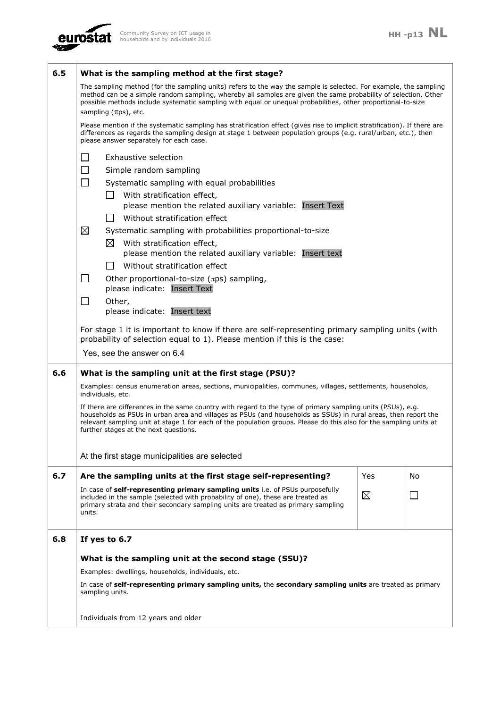

| 6.5 | What is the sampling method at the first stage?                                                                                                                                                                                                                                                                                                                                              |             |    |  |  |
|-----|----------------------------------------------------------------------------------------------------------------------------------------------------------------------------------------------------------------------------------------------------------------------------------------------------------------------------------------------------------------------------------------------|-------------|----|--|--|
|     | The sampling method (for the sampling units) refers to the way the sample is selected. For example, the sampling<br>method can be a simple random sampling, whereby all samples are given the same probability of selection. Other<br>possible methods include systematic sampling with equal or unequal probabilities, other proportional-to-size<br>sampling $(\pi ps)$ , etc.             |             |    |  |  |
|     | Please mention if the systematic sampling has stratification effect (gives rise to implicit stratification). If there are<br>differences as regards the sampling design at stage 1 between population groups (e.g. rural/urban, etc.), then<br>please answer separately for each case.                                                                                                       |             |    |  |  |
|     | $\Box$<br>Exhaustive selection<br>$\Box$<br>Simple random sampling<br>$\Box$                                                                                                                                                                                                                                                                                                                 |             |    |  |  |
|     | Systematic sampling with equal probabilities<br>$\Box$<br>With stratification effect,<br>please mention the related auxiliary variable: Insert Text                                                                                                                                                                                                                                          |             |    |  |  |
|     | Without stratification effect<br>$\blacksquare$<br>$\boxtimes$<br>Systematic sampling with probabilities proportional-to-size                                                                                                                                                                                                                                                                |             |    |  |  |
|     | With stratification effect,<br>$\bowtie$<br>please mention the related auxiliary variable: Insert text                                                                                                                                                                                                                                                                                       |             |    |  |  |
|     | Without stratification effect<br>$\Box$<br>$\Box$<br>Other proportional-to-size ( $\pi$ ps) sampling,<br>please indicate: Insert Text                                                                                                                                                                                                                                                        |             |    |  |  |
|     | $\Box$<br>Other,<br>please indicate: Insert text                                                                                                                                                                                                                                                                                                                                             |             |    |  |  |
|     | For stage 1 it is important to know if there are self-representing primary sampling units (with<br>probability of selection equal to 1). Please mention if this is the case:                                                                                                                                                                                                                 |             |    |  |  |
|     | Yes, see the answer on 6.4                                                                                                                                                                                                                                                                                                                                                                   |             |    |  |  |
| 6.6 | What is the sampling unit at the first stage (PSU)?                                                                                                                                                                                                                                                                                                                                          |             |    |  |  |
|     | Examples: census enumeration areas, sections, municipalities, communes, villages, settlements, households,<br>individuals, etc.                                                                                                                                                                                                                                                              |             |    |  |  |
|     | If there are differences in the same country with regard to the type of primary sampling units (PSUs), e.g.<br>households as PSUs in urban area and villages as PSUs (and households as SSUs) in rural areas, then report the<br>relevant sampling unit at stage 1 for each of the population groups. Please do this also for the sampling units at<br>further stages at the next questions. |             |    |  |  |
|     | At the first stage municipalities are selected                                                                                                                                                                                                                                                                                                                                               |             |    |  |  |
| 6.7 | Are the sampling units at the first stage self-representing?                                                                                                                                                                                                                                                                                                                                 | Yes         | No |  |  |
|     | In case of self-representing primary sampling units i.e. of PSUs purposefully<br>included in the sample (selected with probability of one), these are treated as<br>primary strata and their secondary sampling units are treated as primary sampling<br>units.                                                                                                                              | $\boxtimes$ |    |  |  |
| 6.8 | If yes to 6.7                                                                                                                                                                                                                                                                                                                                                                                |             |    |  |  |
|     | What is the sampling unit at the second stage (SSU)?                                                                                                                                                                                                                                                                                                                                         |             |    |  |  |
|     | Examples: dwellings, households, individuals, etc.                                                                                                                                                                                                                                                                                                                                           |             |    |  |  |
|     | In case of self-representing primary sampling units, the secondary sampling units are treated as primary<br>sampling units.                                                                                                                                                                                                                                                                  |             |    |  |  |
|     | Individuals from 12 years and older                                                                                                                                                                                                                                                                                                                                                          |             |    |  |  |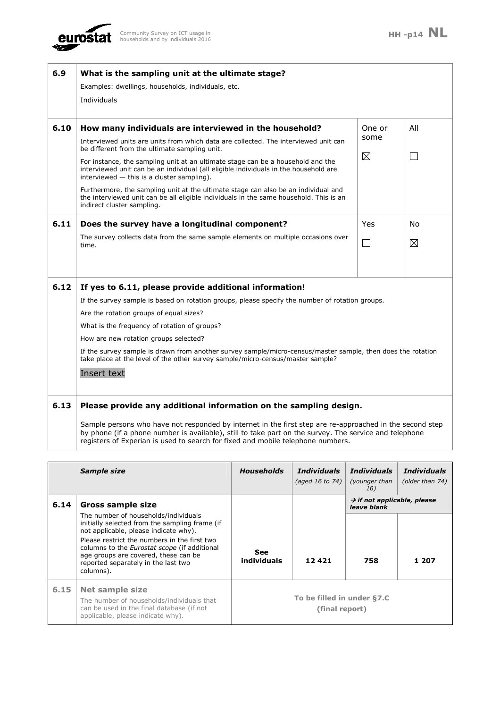

| 6.9  | What is the sampling unit at the ultimate stage?<br>Examples: dwellings, households, individuals, etc.<br>Individuals                                                                                                                                                                                                                                                                                                                                                                                                                                                                                                                   |                     |               |
|------|-----------------------------------------------------------------------------------------------------------------------------------------------------------------------------------------------------------------------------------------------------------------------------------------------------------------------------------------------------------------------------------------------------------------------------------------------------------------------------------------------------------------------------------------------------------------------------------------------------------------------------------------|---------------------|---------------|
| 6.10 | How many individuals are interviewed in the household?<br>Interviewed units are units from which data are collected. The interviewed unit can<br>be different from the ultimate sampling unit.<br>For instance, the sampling unit at an ultimate stage can be a household and the<br>interviewed unit can be an individual (all eligible individuals in the household are<br>interviewed $-$ this is a cluster sampling).<br>Furthermore, the sampling unit at the ultimate stage can also be an individual and<br>the interviewed unit can be all eligible individuals in the same household. This is an<br>indirect cluster sampling. | One or<br>some<br>⊠ | All<br>$\Box$ |
| 6.11 | Does the survey have a longitudinal component?<br>The survey collects data from the same sample elements on multiple occasions over<br>time.                                                                                                                                                                                                                                                                                                                                                                                                                                                                                            | Yes<br>$\Box$       | No<br>⊠       |
| 6.12 | If yes to 6.11, please provide additional information!<br>If the survey sample is based on rotation groups, please specify the number of rotation groups.<br>Are the rotation groups of equal sizes?<br>What is the frequency of rotation of groups?<br>How are new rotation groups selected?<br>If the survey sample is drawn from another survey sample/micro-census/master sample, then does the rotation<br>take place at the level of the other survey sample/micro-census/master sample?<br>Insert text                                                                                                                           |                     |               |
| 6.13 | Please provide any additional information on the sampling design.<br>Sample persons who have not responded by internet in the first step are re-approached in the second step<br>by phone (if a phone number is available), still to take part on the survey. The service and telephone                                                                                                                                                                                                                                                                                                                                                 |                     |               |

registers of Experian is used to search for fixed and mobile telephone numbers.

|      | Sample size                                                                                                                                                                                     | <b>Households</b>         | <i>Individuals</i><br>(aged 16 to 74)        | Individuals<br>(younger than<br>16)                    | <i>Individuals</i><br>(older than 74) |
|------|-------------------------------------------------------------------------------------------------------------------------------------------------------------------------------------------------|---------------------------|----------------------------------------------|--------------------------------------------------------|---------------------------------------|
| 6.14 | Gross sample size                                                                                                                                                                               |                           |                                              | $\rightarrow$ if not applicable, please<br>leave blank |                                       |
|      | The number of households/individuals<br>initially selected from the sampling frame (if<br>not applicable, please indicate why).                                                                 |                           |                                              |                                                        |                                       |
|      | Please restrict the numbers in the first two<br>columns to the <i>Eurostat scope</i> (if additional<br>age groups are covered, these can be<br>reported separately in the last two<br>columns). | <b>See</b><br>individuals | 12421                                        | 758                                                    | 1 207                                 |
| 6.15 | <b>Net sample size</b><br>The number of households/individuals that<br>can be used in the final database (if not<br>applicable, please indicate why).                                           |                           | To be filled in under §7.C<br>(final report) |                                                        |                                       |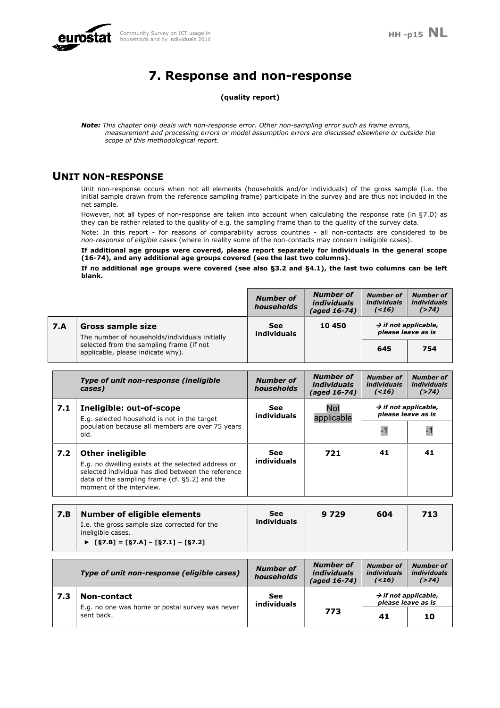

# **7. Response and non-response**

### **(quality report)**

*Note: This chapter only deals with non-response error. Other non-sampling error such as frame errors, measurement and processing errors or model assumption errors are discussed elsewhere or outside the scope of this methodological report.* 

### **UNIT NON-RESPONSE**

Unit non-response occurs when not all elements (households and/or individuals) of the gross sample (i.e. the initial sample drawn from the reference sampling frame) participate in the survey and are thus not included in the net sample.

However, not all types of non-response are taken into account when calculating the response rate (in §7.D) as they can be rather related to the quality of e.g. the sampling frame than to the quality of the survey data.

Note: In this report - for reasons of comparability across countries - all non-contacts are considered to be *non-response of eligible cases* (where in reality some of the non-contacts may concern ineligible cases).

**If additional age groups were covered, please report separately for individuals in the general scope (16-74), and any additional age groups covered (see the last two columns).**

**If no additional age groups were covered (see also §3.2 and §4.1), the last two columns can be left blank.** 

|     |                                                                               | <b>Number of</b><br>households | <b>Number of</b><br><i>individuals</i><br>(aged 16-74) | <b>Number of</b><br><i>individuals</i><br>( < 16)      | <b>Number of</b><br><i>individuals</i><br>( > 74) |
|-----|-------------------------------------------------------------------------------|--------------------------------|--------------------------------------------------------|--------------------------------------------------------|---------------------------------------------------|
| 7.A | <b>Gross sample size</b><br>The number of households/individuals initially    | <b>See</b><br>individuals      | 10 450                                                 | $\rightarrow$ if not applicable,<br>please leave as is |                                                   |
|     | selected from the sampling frame (if not<br>applicable, please indicate why). |                                |                                                        | 645                                                    | 754                                               |

|     | Type of unit non-response (ineligible<br>cases)                                                                                                                                                                  | <b>Number of</b><br>households | <b>Number of</b><br><i>individuals</i><br>(aged 16-74) | <b>Number of</b><br><i>individuals</i><br>(< 16) | <b>Number of</b><br><i>individuals</i><br>$($ >74)     |
|-----|------------------------------------------------------------------------------------------------------------------------------------------------------------------------------------------------------------------|--------------------------------|--------------------------------------------------------|--------------------------------------------------|--------------------------------------------------------|
| 7.1 | Ineligible: out-of-scope<br>E.g. selected household is not in the target                                                                                                                                         | See<br>individuals             | Not<br>applicable                                      |                                                  | $\rightarrow$ if not applicable,<br>please leave as is |
|     | population because all members are over 75 years<br>old.                                                                                                                                                         |                                |                                                        |                                                  | -1                                                     |
| 7.2 | <b>Other ineligible</b><br>E.g. no dwelling exists at the selected address or<br>selected individual has died between the reference<br>data of the sampling frame (cf. §5.2) and the<br>moment of the interview. | <b>See</b><br>individuals      | 721                                                    | 41                                               | 41                                                     |

| 7.B | <b>Number of eligible elements</b>                                | See         | 9 7 2 9 | 604 | 713 |
|-----|-------------------------------------------------------------------|-------------|---------|-----|-----|
|     | I.e. the gross sample size corrected for the<br>ineligible cases. | individuals |         |     |     |
|     | ► $[§7.B] = [§7.A] - [§7.1] - [§7.2]$                             |             |         |     |     |

|     | Type of unit non-response (eligible cases)                    | <b>Number of</b><br>households | <b>Number of</b><br><i>individuals</i><br>(aged 16-74) | <b>Number of</b><br><i>individuals</i><br>(< 16)       | <b>Number of</b><br><i>individuals</i><br>$($ >74) |
|-----|---------------------------------------------------------------|--------------------------------|--------------------------------------------------------|--------------------------------------------------------|----------------------------------------------------|
| 7.3 | <b>Non-contact</b>                                            | See<br>individuals             |                                                        | $\rightarrow$ if not applicable,<br>please leave as is |                                                    |
|     | E.g. no one was home or postal survey was never<br>sent back. |                                | 773                                                    | 41                                                     | 10                                                 |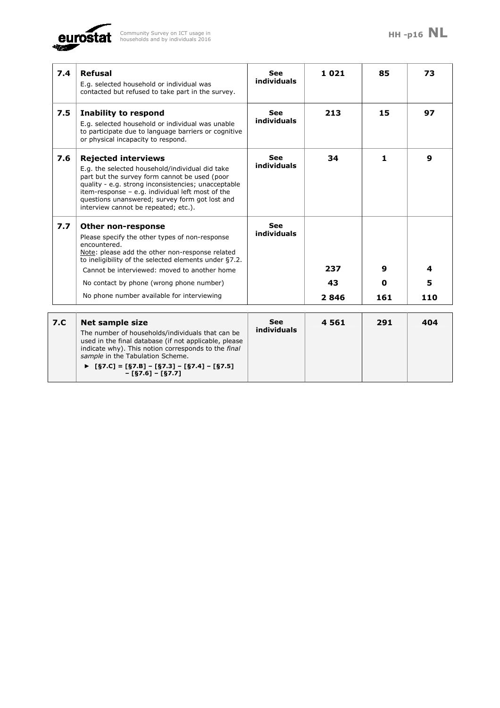

**– [§7.6] – [§7.7]**

| 7.4 | <b>Refusal</b><br>E.g. selected household or individual was<br>contacted but refused to take part in the survey.                                                                                                                                                                                                                           | <b>See</b><br>individuals | 1021              | 85            | 73            |
|-----|--------------------------------------------------------------------------------------------------------------------------------------------------------------------------------------------------------------------------------------------------------------------------------------------------------------------------------------------|---------------------------|-------------------|---------------|---------------|
| 7.5 | <b>Inability to respond</b><br>E.g. selected household or individual was unable<br>to participate due to language barriers or cognitive<br>or physical incapacity to respond.                                                                                                                                                              | <b>See</b><br>individuals | 213               | 15            | 97            |
| 7.6 | <b>Rejected interviews</b><br>E.g. the selected household/individual did take<br>part but the survey form cannot be used (poor<br>quality - e.g. strong inconsistencies; unacceptable<br>item-response $-$ e.g. individual left most of the<br>questions unanswered; survey form got lost and<br>interview cannot be repeated; etc.).      | <b>See</b><br>individuals | 34                | 1             | 9             |
| 7.7 | Other non-response<br>Please specify the other types of non-response<br>encountered.<br>Note: please add the other non-response related<br>to ineligibility of the selected elements under §7.2.<br>Cannot be interviewed: moved to another home<br>No contact by phone (wrong phone number)<br>No phone number available for interviewing | <b>See</b><br>individuals | 237<br>43<br>2846 | 9<br>0<br>161 | 4<br>5<br>110 |
| 7.C | <b>Net sample size</b><br>The number of households/individuals that can be<br>used in the final database (if not applicable, please<br>indicate why). This notion corresponds to the final<br>sample in the Tabulation Scheme.<br>► $[§7.C] = [§7.B] - [§7.3] - [§7.4] - [§7.5]$                                                           | <b>See</b><br>individuals | 4561              | 291           | 404           |

 $\overline{\phantom{a}}$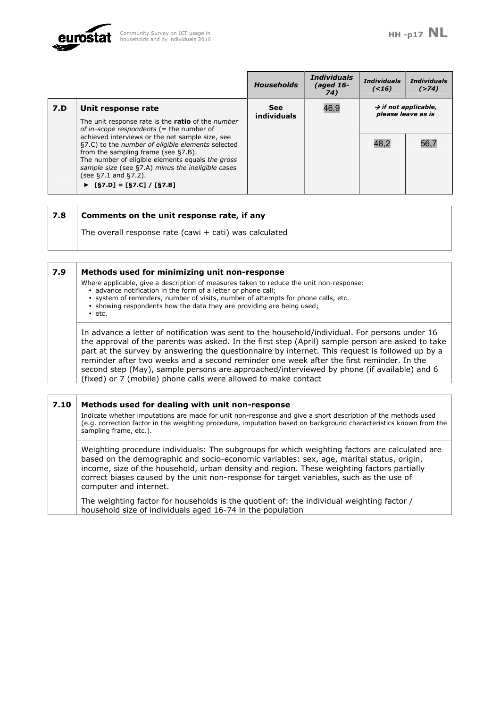

 $\overline{\phantom{0}}$ 

 $\overline{1}$ 

|     |                                                                                                                                                                                                                                                                                                                   | <b>Households</b>  | <b>Individuals</b><br>(aged $16-$<br>74) | <b>Individuals</b><br>(< 16) | <b>Individuals</b><br>$($ >74)                         |
|-----|-------------------------------------------------------------------------------------------------------------------------------------------------------------------------------------------------------------------------------------------------------------------------------------------------------------------|--------------------|------------------------------------------|------------------------------|--------------------------------------------------------|
| 7.D | Unit response rate<br>The unit response rate is the ratio of the number<br>of in-scope respondents ( $=$ the number of                                                                                                                                                                                            | See<br>individuals | 46,9                                     |                              | $\rightarrow$ if not applicable,<br>please leave as is |
|     | achieved interviews or the net sample size, see<br>§7.C) to the number of eligible elements selected<br>from the sampling frame (see §7.B).<br>The number of eligible elements equals the gross<br>sample size (see §7.A) minus the ineligible cases<br>(see $\S7.1$ and $\S7.2$ ).<br>▶ [§7.D] = [§7.C] / [§7.B] |                    |                                          | 48,2                         | 56,7                                                   |

 $\mathbf{r}$ 

| 7.8 | Comments on the unit response rate, if any               |
|-----|----------------------------------------------------------|
|     | The overall response rate (cawi $+$ cati) was calculated |

| 7.9 | Methods used for minimizing unit non-response                                                                                                                                                       |
|-----|-----------------------------------------------------------------------------------------------------------------------------------------------------------------------------------------------------|
|     | Where applicable, give a description of measures taken to reduce the unit non-response:                                                                                                             |
|     | · advance notification in the form of a letter or phone call;<br>· system of reminders, number of visits, number of attempts for phone calls, etc.                                                  |
|     | · showing respondents how the data they are providing are being used;                                                                                                                               |
|     | $\cdot$ etc.                                                                                                                                                                                        |
|     | In advance a letter of notification was sent to the household/individual. For persons under 16                                                                                                      |
|     | the approval of the parents was asked. In the first step (April) sample person are asked to take<br>part at the survey by answering the questionnaire by internet. This request is followed up by a |
|     | reminder after two weeks and a second reminder one week after the first reminder. In the                                                                                                            |
|     | second step (May), sample persons are approached/interviewed by phone (if available) and 6                                                                                                          |
|     | (fixed) or 7 (mobile) phone calls were allowed to make contact                                                                                                                                      |
|     |                                                                                                                                                                                                     |
|     |                                                                                                                                                                                                     |

| 7.10 | Methods used for dealing with unit non-response                                                                                                                                                                                                                                                                                                                                                              |
|------|--------------------------------------------------------------------------------------------------------------------------------------------------------------------------------------------------------------------------------------------------------------------------------------------------------------------------------------------------------------------------------------------------------------|
|      | Indicate whether imputations are made for unit non-response and give a short description of the methods used<br>(e.g. correction factor in the weighting procedure, imputation based on background characteristics known from the<br>sampling frame, etc.).                                                                                                                                                  |
|      | Weighting procedure individuals: The subgroups for which weighting factors are calculated are<br>based on the demographic and socio-economic variables: sex, age, marital status, origin,<br>income, size of the household, urban density and region. These weighting factors partially<br>correct biases caused by the unit non-response for target variables, such as the use of<br>computer and internet. |
|      | The weighting factor for households is the quotient of: the individual weighting factor /<br>household size of individuals aged 16-74 in the population                                                                                                                                                                                                                                                      |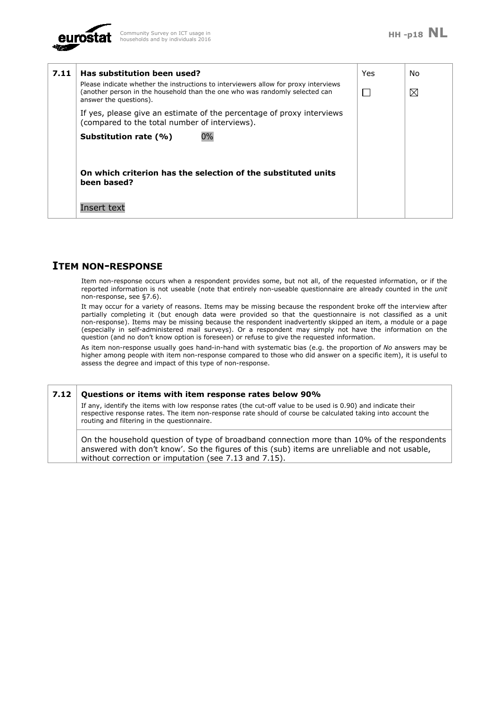

| 7.11 | Has substitution been used?<br>Please indicate whether the instructions to interviewers allow for proxy interviews<br>(another person in the household than the one who was randomly selected can<br>answer the questions).<br>If yes, please give an estimate of the percentage of proxy interviews<br>(compared to the total number of interviews). | Yes | No.<br>⊠ |
|------|-------------------------------------------------------------------------------------------------------------------------------------------------------------------------------------------------------------------------------------------------------------------------------------------------------------------------------------------------------|-----|----------|
|      | 0%<br>Substitution rate (%)                                                                                                                                                                                                                                                                                                                           |     |          |
|      | On which criterion has the selection of the substituted units<br>been based?<br>Insert text                                                                                                                                                                                                                                                           |     |          |

## **ITEM NON-RESPONSE**

Item non-response occurs when a respondent provides some, but not all, of the requested information, or if the reported information is not useable (note that entirely non-useable questionnaire are already counted in the *unit* non-response, see §7.6).

It may occur for a variety of reasons. Items may be missing because the respondent broke off the interview after partially completing it (but enough data were provided so that the questionnaire is not classified as a unit non-response). Items may be missing because the respondent inadvertently skipped an item, a module or a page (especially in self-administered mail surveys). Or a respondent may simply not have the information on the question (and no don't know option is foreseen) or refuse to give the requested information.

As item non-response usually goes hand-in-hand with systematic bias (e.g. the proportion of *No* answers may be higher among people with item non-response compared to those who did answer on a specific item), it is useful to assess the degree and impact of this type of non-response.

**7.12 Questions or items with item response rates below 90%**  If any, identify the items with low response rates (the cut-off value to be used is 0.90) and indicate their respective response rates. The item non-response rate should of course be calculated taking into account the routing and filtering in the questionnaire.

On the household question of type of broadband connection more than 10% of the respondents answered with don't know'. So the figures of this (sub) items are unreliable and not usable, without correction or imputation (see 7.13 and 7.15).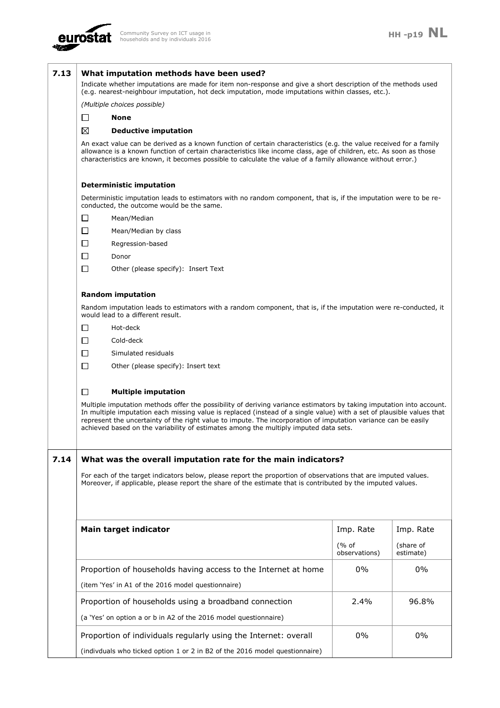

| 7.13 |        | What imputation methods have been used?<br>Indicate whether imputations are made for item non-response and give a short description of the methods used<br>(e.g. nearest-neighbour imputation, hot deck imputation, mode imputations within classes, etc.).                                                                                                                                                                                             |                        |                        |
|------|--------|---------------------------------------------------------------------------------------------------------------------------------------------------------------------------------------------------------------------------------------------------------------------------------------------------------------------------------------------------------------------------------------------------------------------------------------------------------|------------------------|------------------------|
|      |        | (Multiple choices possible)                                                                                                                                                                                                                                                                                                                                                                                                                             |                        |                        |
|      | П      | <b>None</b>                                                                                                                                                                                                                                                                                                                                                                                                                                             |                        |                        |
|      | ⊠      | <b>Deductive imputation</b>                                                                                                                                                                                                                                                                                                                                                                                                                             |                        |                        |
|      |        | An exact value can be derived as a known function of certain characteristics (e.g. the value received for a family<br>allowance is a known function of certain characteristics like income class, age of children, etc. As soon as those<br>characteristics are known, it becomes possible to calculate the value of a family allowance without error.)                                                                                                 |                        |                        |
|      |        | <b>Deterministic imputation</b>                                                                                                                                                                                                                                                                                                                                                                                                                         |                        |                        |
|      |        | Deterministic imputation leads to estimators with no random component, that is, if the imputation were to be re-<br>conducted, the outcome would be the same.                                                                                                                                                                                                                                                                                           |                        |                        |
|      | $\Box$ | Mean/Median                                                                                                                                                                                                                                                                                                                                                                                                                                             |                        |                        |
|      | $\Box$ | Mean/Median by class                                                                                                                                                                                                                                                                                                                                                                                                                                    |                        |                        |
|      | $\Box$ | Regression-based                                                                                                                                                                                                                                                                                                                                                                                                                                        |                        |                        |
|      | $\Box$ | Donor                                                                                                                                                                                                                                                                                                                                                                                                                                                   |                        |                        |
|      | $\Box$ | Other (please specify): Insert Text                                                                                                                                                                                                                                                                                                                                                                                                                     |                        |                        |
|      |        | <b>Random imputation</b>                                                                                                                                                                                                                                                                                                                                                                                                                                |                        |                        |
|      |        | Random imputation leads to estimators with a random component, that is, if the imputation were re-conducted, it<br>would lead to a different result.                                                                                                                                                                                                                                                                                                    |                        |                        |
|      | □      | Hot-deck                                                                                                                                                                                                                                                                                                                                                                                                                                                |                        |                        |
|      | □      | Cold-deck                                                                                                                                                                                                                                                                                                                                                                                                                                               |                        |                        |
|      | □      | Simulated residuals                                                                                                                                                                                                                                                                                                                                                                                                                                     |                        |                        |
|      | $\Box$ | Other (please specify): Insert text                                                                                                                                                                                                                                                                                                                                                                                                                     |                        |                        |
|      | $\Box$ | <b>Multiple imputation</b>                                                                                                                                                                                                                                                                                                                                                                                                                              |                        |                        |
|      |        | Multiple imputation methods offer the possibility of deriving variance estimators by taking imputation into account.<br>In multiple imputation each missing value is replaced (instead of a single value) with a set of plausible values that<br>represent the uncertainty of the right value to impute. The incorporation of imputation variance can be easily<br>achieved based on the variability of estimates among the multiply imputed data sets. |                        |                        |
| 7.14 |        | What was the overall imputation rate for the main indicators?                                                                                                                                                                                                                                                                                                                                                                                           |                        |                        |
|      |        | For each of the target indicators below, please report the proportion of observations that are imputed values.                                                                                                                                                                                                                                                                                                                                          |                        |                        |
|      |        | Moreover, if applicable, please report the share of the estimate that is contributed by the imputed values.                                                                                                                                                                                                                                                                                                                                             |                        |                        |
|      |        |                                                                                                                                                                                                                                                                                                                                                                                                                                                         |                        |                        |
|      |        | <b>Main target indicator</b>                                                                                                                                                                                                                                                                                                                                                                                                                            | Imp. Rate              | Imp. Rate              |
|      |        |                                                                                                                                                                                                                                                                                                                                                                                                                                                         | (% of<br>observations) | (share of<br>estimate) |
|      |        | Proportion of households having access to the Internet at home                                                                                                                                                                                                                                                                                                                                                                                          | 0%                     | $0\%$                  |
|      |        | (item 'Yes' in A1 of the 2016 model questionnaire)                                                                                                                                                                                                                                                                                                                                                                                                      |                        |                        |
|      |        | Proportion of households using a broadband connection                                                                                                                                                                                                                                                                                                                                                                                                   | 2.4%                   | 96.8%                  |
|      |        | (a 'Yes' on option a or b in A2 of the 2016 model questionnaire)                                                                                                                                                                                                                                                                                                                                                                                        |                        |                        |
|      |        | Proportion of individuals regularly using the Internet: overall                                                                                                                                                                                                                                                                                                                                                                                         | 0%                     | $0\%$                  |
|      |        | (indivduals who ticked option 1 or 2 in B2 of the 2016 model questionnaire)                                                                                                                                                                                                                                                                                                                                                                             |                        |                        |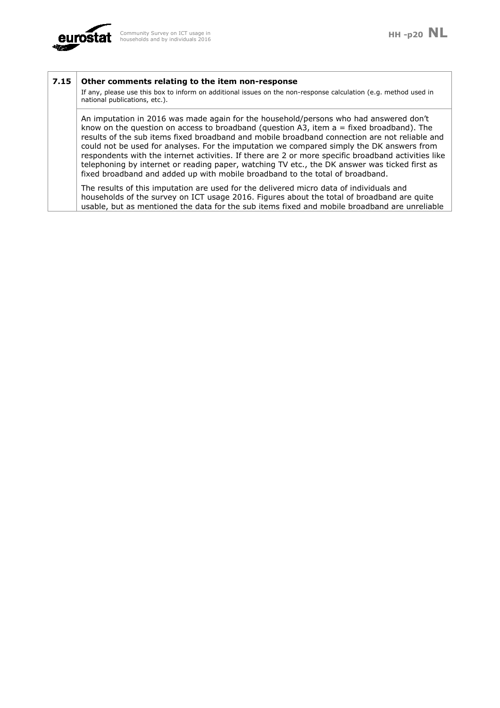

### **7.15 Other comments relating to the item non-response**

If any, please use this box to inform on additional issues on the non-response calculation (e.g. method used in national publications, etc.).

An imputation in 2016 was made again for the household/persons who had answered don't know on the question on access to broadband (question A3, item  $a = fixed$  broadband). The results of the sub items fixed broadband and mobile broadband connection are not reliable and could not be used for analyses. For the imputation we compared simply the DK answers from respondents with the internet activities. If there are 2 or more specific broadband activities like telephoning by internet or reading paper, watching TV etc., the DK answer was ticked first as fixed broadband and added up with mobile broadband to the total of broadband.

The results of this imputation are used for the delivered micro data of individuals and households of the survey on ICT usage 2016. Figures about the total of broadband are quite usable, but as mentioned the data for the sub items fixed and mobile broadband are unreliable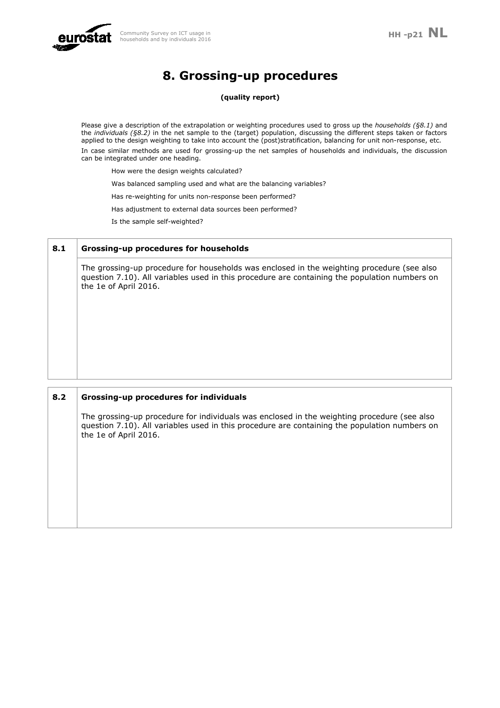

# **8. Grossing-up procedures**

**(quality report)** 

Please give a description of the extrapolation or weighting procedures used to gross up the *households (§8.1)* and the *individuals (§8.2)* in the net sample to the (target) population, discussing the different steps taken or factors applied to the design weighting to take into account the (post)stratification, balancing for unit non-response, etc. In case similar methods are used for grossing-up the net samples of households and individuals, the discussion can be integrated under one heading.

How were the design weights calculated?

Was balanced sampling used and what are the balancing variables?

Has re-weighting for units non-response been performed?

Has adjustment to external data sources been performed?

Is the sample self-weighted?

| 8.1 | <b>Grossing-up procedures for households</b>                                                                                                                                                                         |
|-----|----------------------------------------------------------------------------------------------------------------------------------------------------------------------------------------------------------------------|
|     | The grossing-up procedure for households was enclosed in the weighting procedure (see also<br>question 7.10). All variables used in this procedure are containing the population numbers on<br>the 1e of April 2016. |
|     |                                                                                                                                                                                                                      |
|     |                                                                                                                                                                                                                      |
|     |                                                                                                                                                                                                                      |

**8.2 Grossing-up procedures for individuals**  The grossing-up procedure for individuals was enclosed in the weighting procedure (see also question 7.10). All variables used in this procedure are containing the population numbers on the 1e of April 2016.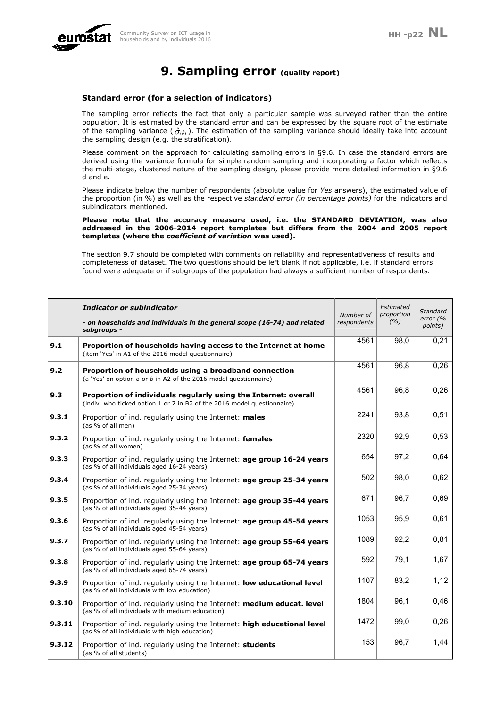

## **9. Sampling error (quality report)**

#### **Standard error (for a selection of indicators)**

The sampling error reflects the fact that only a particular sample was surveyed rather than the entire population. It is estimated by the standard error and can be expressed by the square root of the estimate of the sampling variance ( $\hat{\sigma}_{(\hat{\theta})}$ ). The estimation of the sampling variance should ideally take into account the sampling design (e.g. the stratification).

Please comment on the approach for calculating sampling errors in §9.6. In case the standard errors are derived using the variance formula for simple random sampling and incorporating a factor which reflects the multi-stage, clustered nature of the sampling design, please provide more detailed information in §9.6 d and e.

Please indicate below the number of respondents (absolute value for *Yes* answers), the estimated value of the proportion (in %) as well as the respective *standard error (in percentage points)* for the indicators and subindicators mentioned.

**Please note that the accuracy measure used, i.e. the STANDARD DEVIATION, was also addressed in the 2006-2014 report templates but differs from the 2004 and 2005 report templates (where the** *coefficient of variation* **was used).** 

The section 9.7 should be completed with comments on reliability and representativeness of results and completeness of dataset. The two questions should be left blank if not applicable, i.e. if standard errors found were adequate or if subgroups of the population had always a sufficient number of respondents.

|        | Indicator or subindicator                                                                                                                  | Number of   | Estimated<br>proportion | Standard              |
|--------|--------------------------------------------------------------------------------------------------------------------------------------------|-------------|-------------------------|-----------------------|
|        | - on households and individuals in the general scope (16-74) and related<br>subgroups -                                                    | respondents | (%)                     | error $(%$<br>points) |
| 9.1    | Proportion of households having access to the Internet at home<br>(item 'Yes' in A1 of the 2016 model questionnaire)                       | 4561        | 98,0                    | 0,21                  |
| 9.2    | Proportion of households using a broadband connection<br>(a 'Yes' on option a or $b$ in A2 of the 2016 model questionnaire)                | 4561        | 96,8                    | 0,26                  |
| 9.3    | Proportion of individuals regularly using the Internet: overall<br>(indiv. who ticked option 1 or 2 in B2 of the 2016 model questionnaire) | 4561        | 96,8                    | 0,26                  |
| 9.3.1  | Proportion of ind. regularly using the Internet: males<br>(as % of all men)                                                                | 2241        | 93,8                    | 0,51                  |
| 9.3.2  | Proportion of ind. regularly using the Internet: females<br>(as % of all women)                                                            | 2320        | 92,9                    | 0,53                  |
| 9.3.3  | Proportion of ind. regularly using the Internet: age group 16-24 years<br>(as % of all individuals aged 16-24 years)                       | 654         | 97,2                    | 0,64                  |
| 9.3.4  | Proportion of ind. regularly using the Internet: age group 25-34 years<br>(as % of all individuals aged 25-34 years)                       | 502         | 98,0                    | 0,62                  |
| 9.3.5  | Proportion of ind. regularly using the Internet: age group 35-44 years<br>(as % of all individuals aged 35-44 years)                       | 671         | 96,7                    | 0,69                  |
| 9.3.6  | Proportion of ind. regularly using the Internet: <b>age group 45-54 years</b><br>(as % of all individuals aged 45-54 years)                | 1053        | 95,9                    | 0,61                  |
| 9.3.7  | Proportion of ind. regularly using the Internet: age group 55-64 years<br>(as % of all individuals aged 55-64 years)                       | 1089        | 92,2                    | 0,81                  |
| 9.3.8  | Proportion of ind. regularly using the Internet: age group 65-74 years<br>(as % of all individuals aged 65-74 years)                       | 592         | 79,1                    | 1,67                  |
| 9.3.9  | Proportion of ind. regularly using the Internet: low educational level<br>(as % of all individuals with low education)                     | 1107        | 83,2                    | 1,12                  |
| 9.3.10 | Proportion of ind. regularly using the Internet: medium educat. level<br>(as % of all individuals with medium education)                   | 1804        | 96,1                    | 0,46                  |
| 9.3.11 | Proportion of ind. regularly using the Internet: high educational level<br>(as % of all individuals with high education)                   | 1472        | 99.0                    | 0,26                  |
| 9.3.12 | Proportion of ind. regularly using the Internet: students<br>(as % of all students)                                                        | 153         | 96,7                    | 1,44                  |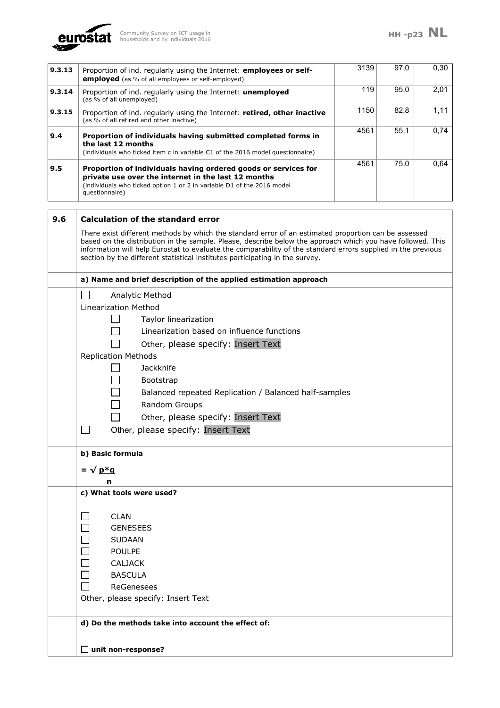

| 9.3.13 | Proportion of ind. regularly using the Internet: employees or self-<br>employed (as % of all employees or self-employed)                                                                                                                                                                                                                                                                                           | 3139 | 97,0 | 0,30 |
|--------|--------------------------------------------------------------------------------------------------------------------------------------------------------------------------------------------------------------------------------------------------------------------------------------------------------------------------------------------------------------------------------------------------------------------|------|------|------|
| 9.3.14 | Proportion of ind. regularly using the Internet: <b>unemployed</b><br>(as % of all unemployed)                                                                                                                                                                                                                                                                                                                     | 119  | 95,0 | 2,01 |
| 9.3.15 | Proportion of ind. regularly using the Internet: retired, other inactive<br>(as % of all retired and other inactive)                                                                                                                                                                                                                                                                                               | 1150 | 82,8 | 1,11 |
| 9.4    | Proportion of individuals having submitted completed forms in<br>the last 12 months<br>(individuals who ticked item c in variable C1 of the 2016 model questionnaire)                                                                                                                                                                                                                                              | 4561 | 55,1 | 0,74 |
| 9.5    | Proportion of individuals having ordered goods or services for<br>private use over the internet in the last 12 months<br>(individuals who ticked option 1 or 2 in variable D1 of the 2016 model<br>questionnaire)                                                                                                                                                                                                  | 4561 | 75,0 | 0,64 |
| 9.6    | <b>Calculation of the standard error</b>                                                                                                                                                                                                                                                                                                                                                                           |      |      |      |
|        | There exist different methods by which the standard error of an estimated proportion can be assessed<br>based on the distribution in the sample. Please, describe below the approach which you have followed. This<br>information will help Eurostat to evaluate the comparability of the standard errors supplied in the previous<br>section by the different statistical institutes participating in the survey. |      |      |      |
|        | a) Name and brief description of the applied estimation approach                                                                                                                                                                                                                                                                                                                                                   |      |      |      |
|        | Analytic Method<br>Linearization Method<br>Taylor linearization<br>Linearization based on influence functions<br>Other, please specify: Insert Text<br><b>Replication Methods</b><br>Jackknife<br>Bootstrap<br>Balanced repeated Replication / Balanced half-samples<br>Random Groups<br>Other, please specify: Insert Text<br>Other, please specify: Insert Text<br>b) Basic formula<br>$=$ $\sqrt{p*q}$<br>n     |      |      |      |
|        | c) What tools were used?<br><b>CLAN</b><br><b>GENESEES</b><br><b>SUDAAN</b><br><b>POULPE</b><br><b>CALJACK</b><br><b>BASCULA</b><br>ReGenesees<br>Other, please specify: Insert Text<br>d) Do the methods take into account the effect of:<br>$\Box$ unit non-response?                                                                                                                                            |      |      |      |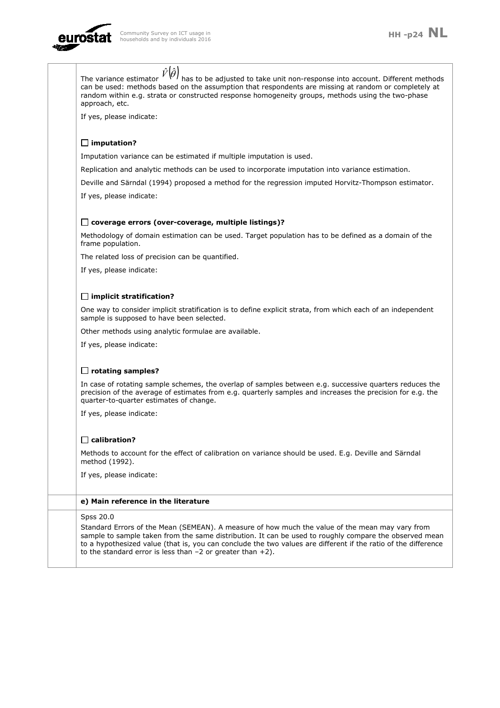

| $\prime$ has to be adjusted to take unit non-response into account. Different methods<br>The variance estimator<br>can be used: methods based on the assumption that respondents are missing at random or completely at<br>random within e.g. strata or constructed response homogeneity groups, methods using the two-phase<br>approach, etc.                                                 |
|------------------------------------------------------------------------------------------------------------------------------------------------------------------------------------------------------------------------------------------------------------------------------------------------------------------------------------------------------------------------------------------------|
| If yes, please indicate:                                                                                                                                                                                                                                                                                                                                                                       |
|                                                                                                                                                                                                                                                                                                                                                                                                |
| $\Box$ imputation?                                                                                                                                                                                                                                                                                                                                                                             |
| Imputation variance can be estimated if multiple imputation is used.                                                                                                                                                                                                                                                                                                                           |
| Replication and analytic methods can be used to incorporate imputation into variance estimation.                                                                                                                                                                                                                                                                                               |
| Deville and Särndal (1994) proposed a method for the regression imputed Horvitz-Thompson estimator.                                                                                                                                                                                                                                                                                            |
| If yes, please indicate:                                                                                                                                                                                                                                                                                                                                                                       |
|                                                                                                                                                                                                                                                                                                                                                                                                |
| $\Box$ coverage errors (over-coverage, multiple listings)?                                                                                                                                                                                                                                                                                                                                     |
| Methodology of domain estimation can be used. Target population has to be defined as a domain of the<br>frame population.                                                                                                                                                                                                                                                                      |
| The related loss of precision can be quantified.                                                                                                                                                                                                                                                                                                                                               |
| If yes, please indicate:                                                                                                                                                                                                                                                                                                                                                                       |
|                                                                                                                                                                                                                                                                                                                                                                                                |
| $\Box$ implicit stratification?                                                                                                                                                                                                                                                                                                                                                                |
| One way to consider implicit stratification is to define explicit strata, from which each of an independent<br>sample is supposed to have been selected.                                                                                                                                                                                                                                       |
| Other methods using analytic formulae are available.                                                                                                                                                                                                                                                                                                                                           |
| If yes, please indicate:                                                                                                                                                                                                                                                                                                                                                                       |
|                                                                                                                                                                                                                                                                                                                                                                                                |
| $\Box$ rotating samples?                                                                                                                                                                                                                                                                                                                                                                       |
| In case of rotating sample schemes, the overlap of samples between e.g. successive quarters reduces the<br>precision of the average of estimates from e.g. quarterly samples and increases the precision for e.g. the<br>quarter-to-quarter estimates of change.                                                                                                                               |
| If yes, please indicate:                                                                                                                                                                                                                                                                                                                                                                       |
|                                                                                                                                                                                                                                                                                                                                                                                                |
| $\Box$ calibration?                                                                                                                                                                                                                                                                                                                                                                            |
| Methods to account for the effect of calibration on variance should be used. E.g. Deville and Särndal<br>method (1992).                                                                                                                                                                                                                                                                        |
| If yes, please indicate:                                                                                                                                                                                                                                                                                                                                                                       |
|                                                                                                                                                                                                                                                                                                                                                                                                |
| e) Main reference in the literature                                                                                                                                                                                                                                                                                                                                                            |
| Spss 20.0                                                                                                                                                                                                                                                                                                                                                                                      |
| Standard Errors of the Mean (SEMEAN). A measure of how much the value of the mean may vary from<br>sample to sample taken from the same distribution. It can be used to roughly compare the observed mean<br>to a hypothesized value (that is, you can conclude the two values are different if the ratio of the difference<br>to the standard error is less than $-2$ or greater than $+2$ ). |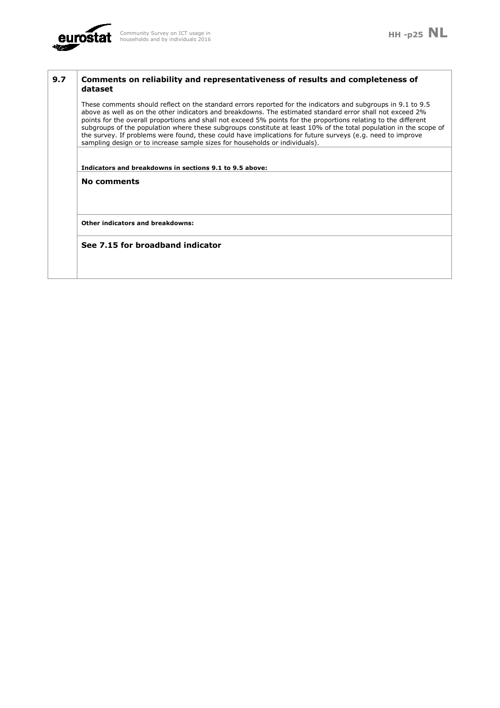

| 9.7 | Comments on reliability and representativeness of results and completeness of<br>dataset                                                                                                                                                                                                                                                                                                                                                                                                                                                                                                                                                                       |
|-----|----------------------------------------------------------------------------------------------------------------------------------------------------------------------------------------------------------------------------------------------------------------------------------------------------------------------------------------------------------------------------------------------------------------------------------------------------------------------------------------------------------------------------------------------------------------------------------------------------------------------------------------------------------------|
|     | These comments should reflect on the standard errors reported for the indicators and subgroups in 9.1 to 9.5<br>above as well as on the other indicators and breakdowns. The estimated standard error shall not exceed 2%<br>points for the overall proportions and shall not exceed 5% points for the proportions relating to the different<br>subgroups of the population where these subgroups constitute at least 10% of the total population in the scope of<br>the survey. If problems were found, these could have implications for future surveys (e.g. need to improve<br>sampling design or to increase sample sizes for households or individuals). |
|     | Indicators and breakdowns in sections 9.1 to 9.5 above:                                                                                                                                                                                                                                                                                                                                                                                                                                                                                                                                                                                                        |
|     | No comments                                                                                                                                                                                                                                                                                                                                                                                                                                                                                                                                                                                                                                                    |
|     | Other indicators and breakdowns:                                                                                                                                                                                                                                                                                                                                                                                                                                                                                                                                                                                                                               |
|     | See 7.15 for broadband indicator                                                                                                                                                                                                                                                                                                                                                                                                                                                                                                                                                                                                                               |
|     |                                                                                                                                                                                                                                                                                                                                                                                                                                                                                                                                                                                                                                                                |